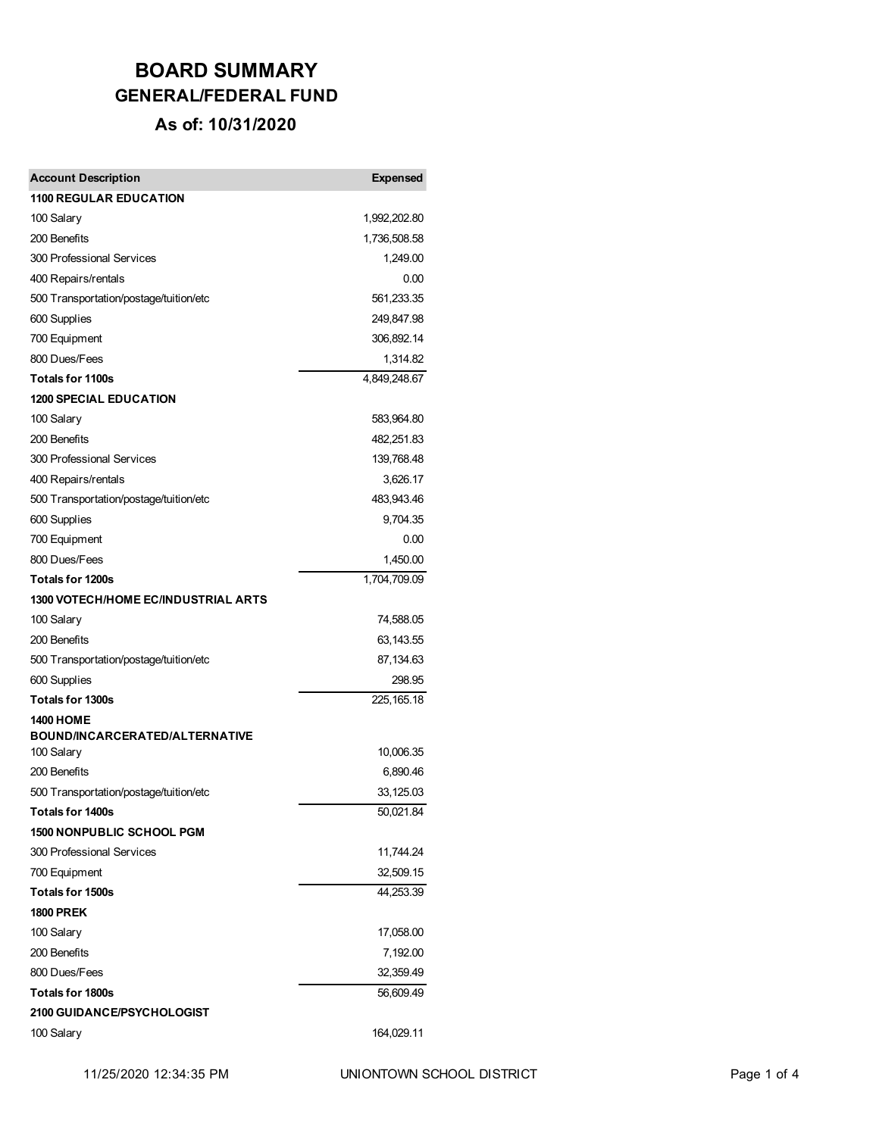| <b>Account Description</b>                          | <b>Expensed</b>       |
|-----------------------------------------------------|-----------------------|
| <b>1100 REGULAR EDUCATION</b>                       |                       |
| 100 Salary                                          | 1,992,202.80          |
| 200 Benefits                                        | 1,736,508.58          |
| 300 Professional Services                           | 1,249.00              |
| 400 Repairs/rentals                                 | 0.00                  |
| 500 Transportation/postage/tuition/etc              | 561,233.35            |
| 600 Supplies                                        | 249,847.98            |
| 700 Equipment                                       | 306,892.14            |
| 800 Dues/Fees                                       | 1,314.82              |
| <b>Totals for 1100s</b>                             | 4,849,248.67          |
| <b>1200 SPECIAL EDUCATION</b>                       |                       |
| 100 Salary                                          | 583,964.80            |
| 200 Benefits                                        | 482,251.83            |
| 300 Professional Services                           | 139,768.48            |
| 400 Repairs/rentals                                 | 3,626.17              |
| 500 Transportation/postage/tuition/etc              | 483,943.46            |
| 600 Supplies                                        | 9,704.35              |
| 700 Equipment                                       | 0.00                  |
| 800 Dues/Fees                                       | 1,450.00              |
| <b>Totals for 1200s</b>                             | 1,704,709.09          |
| <b>1300 VOTECH/HOME EC/INDUSTRIAL ARTS</b>          |                       |
| 100 Salary                                          | 74,588.05             |
| 200 Benefits                                        | 63,143.55             |
| 500 Transportation/postage/tuition/etc              | 87,134.63             |
| 600 Supplies                                        | 298.95                |
| <b>Totals for 1300s</b>                             | 225, 165. 18          |
| <b>1400 HOME</b>                                    |                       |
| <b>BOUND/INCARCERATED/ALTERNATIVE</b><br>100 Salary | 10,006.35             |
| 200 Benefits                                        |                       |
| 500 Transportation/postage/tuition/etc              | 6,890.46<br>33,125.03 |
| Totals for 1400s                                    | 50,021.84             |
| <b>1500 NONPUBLIC SCHOOL PGM</b>                    |                       |
| 300 Professional Services                           | 11,744.24             |
| 700 Equipment                                       | 32,509.15             |
| Totals for 1500s                                    | 44,253.39             |
| <b>1800 PREK</b>                                    |                       |
| 100 Salary                                          | 17,058.00             |
| 200 Benefits                                        | 7,192.00              |
| 800 Dues/Fees                                       | 32,359.49             |
| <b>Totals for 1800s</b>                             | 56,609.49             |
| 2100 GUIDANCE/PSYCHOLOGIST                          |                       |
| 100 Salary                                          | 164,029.11            |
|                                                     |                       |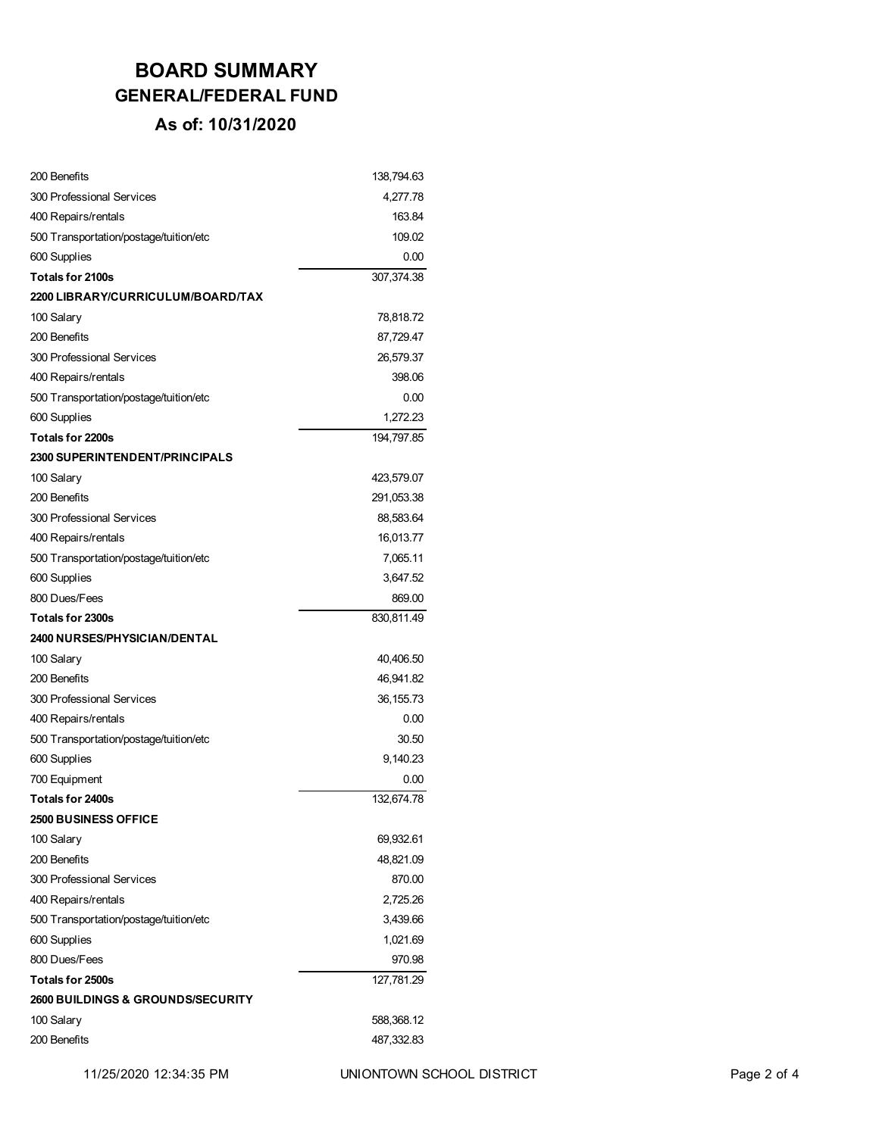| 200 Benefits                                 | 138,794.63 |
|----------------------------------------------|------------|
| 300 Professional Services                    | 4,277.78   |
| 400 Repairs/rentals                          | 163.84     |
| 500 Transportation/postage/tuition/etc       | 109.02     |
| 600 Supplies                                 | 0.00       |
| <b>Totals for 2100s</b>                      | 307,374.38 |
| 2200 LIBRARY/CURRICULUM/BOARD/TAX            |            |
| 100 Salary                                   | 78,818.72  |
| 200 Benefits                                 | 87,729.47  |
| 300 Professional Services                    | 26,579.37  |
| 400 Repairs/rentals                          | 398.06     |
| 500 Transportation/postage/tuition/etc       | 0.00       |
| 600 Supplies                                 | 1,272.23   |
| Totals for 2200s                             | 194,797.85 |
| <b>2300 SUPERINTENDENT/PRINCIPALS</b>        |            |
| 100 Salary                                   | 423,579.07 |
| 200 Benefits                                 | 291,053.38 |
| 300 Professional Services                    | 88,583.64  |
| 400 Repairs/rentals                          | 16,013.77  |
| 500 Transportation/postage/tuition/etc       | 7,065.11   |
| 600 Supplies                                 | 3,647.52   |
| 800 Dues/Fees                                | 869.00     |
| Totals for 2300s                             | 830,811.49 |
| <b>2400 NURSES/PHYSICIAN/DENTAL</b>          |            |
| 100 Salary                                   | 40,406.50  |
| 200 Benefits                                 | 46,941.82  |
| 300 Professional Services                    | 36, 155.73 |
| 400 Repairs/rentals                          | 0.00       |
| 500 Transportation/postage/tuition/etc       | 30.50      |
| 600 Supplies                                 | 9,140.23   |
| 700 Equipment                                | 0.00       |
| Totals for 2400s                             | 132.674.78 |
| <b>2500 BUSINESS OFFICE</b>                  |            |
| 100 Salary                                   | 69,932.61  |
| 200 Benefits                                 | 48,821.09  |
| 300 Professional Services                    | 870.00     |
| 400 Repairs/rentals                          | 2,725.26   |
| 500 Transportation/postage/tuition/etc       | 3,439.66   |
| 600 Supplies                                 | 1,021.69   |
| 800 Dues/Fees                                | 970.98     |
| Totals for 2500s                             | 127,781.29 |
| <b>2600 BUILDINGS &amp; GROUNDS/SECURITY</b> |            |
| 100 Salary                                   | 588,368.12 |
| 200 Benefits                                 | 487,332.83 |
|                                              |            |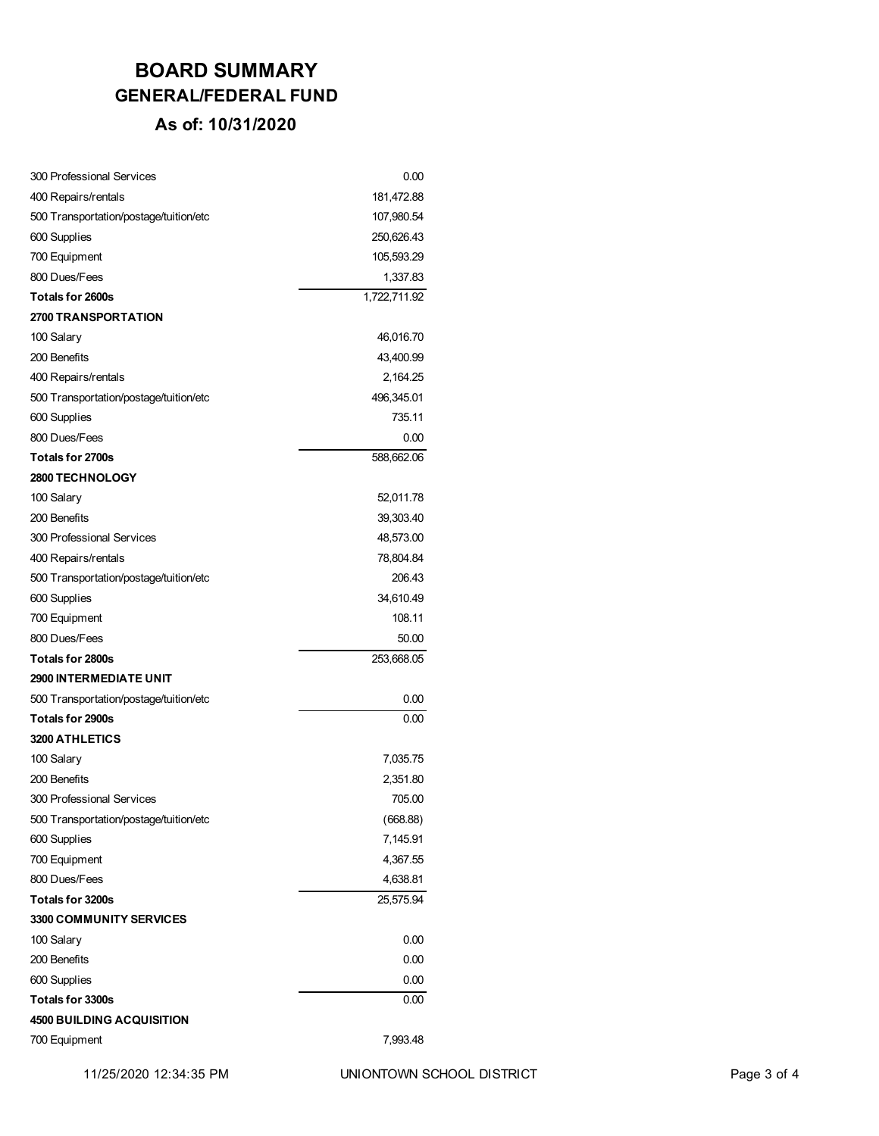| 300 Professional Services              | 0.00         |
|----------------------------------------|--------------|
| 400 Repairs/rentals                    | 181,472.88   |
| 500 Transportation/postage/tuition/etc | 107,980.54   |
| 600 Supplies                           | 250,626.43   |
| 700 Equipment                          | 105,593.29   |
| 800 Dues/Fees                          | 1,337.83     |
| Totals for 2600s                       | 1,722,711.92 |
| <b>2700 TRANSPORTATION</b>             |              |
| 100 Salary                             | 46,016.70    |
| 200 Benefits                           | 43,400.99    |
| 400 Repairs/rentals                    | 2,164.25     |
| 500 Transportation/postage/tuition/etc | 496,345.01   |
| 600 Supplies                           | 735.11       |
| 800 Dues/Fees                          | 0.00         |
| Totals for 2700s                       | 588,662.06   |
| 2800 TECHNOLOGY                        |              |
| 100 Salary                             | 52,011.78    |
| 200 Benefits                           | 39,303.40    |
| 300 Professional Services              | 48,573.00    |
| 400 Repairs/rentals                    | 78,804.84    |
| 500 Transportation/postage/tuition/etc | 206.43       |
| 600 Supplies                           | 34,610.49    |
| 700 Equipment                          | 108.11       |
| 800 Dues/Fees                          | 50.00        |
| Totals for 2800s                       | 253,668.05   |
| <b>2900 INTERMEDIATE UNIT</b>          |              |
| 500 Transportation/postage/tuition/etc | 0.00         |
| Totals for 2900s                       | 0.00         |
| <b>3200 ATHLETICS</b>                  |              |
| 100 Salary                             | 7,035.75     |
| 200 Benefits                           | 2,351.80     |
| 300 Professional Services              | 705.00       |
| 500 Transportation/postage/tuition/etc | (668.88)     |
| 600 Supplies                           | 7,145.91     |
| 700 Equipment                          | 4,367.55     |
| 800 Dues/Fees                          | 4,638.81     |
| Totals for 3200s                       | 25,575.94    |
| 3300 COMMUNITY SERVICES                |              |
| 100 Salary                             | 0.00         |
| 200 Benefits                           | 0.00         |
| 600 Supplies                           | 0.00         |
| <b>Totals for 3300s</b>                | 0.00         |
| <b>4500 BUILDING ACQUISITION</b>       |              |
| 700 Equipment                          | 7,993.48     |